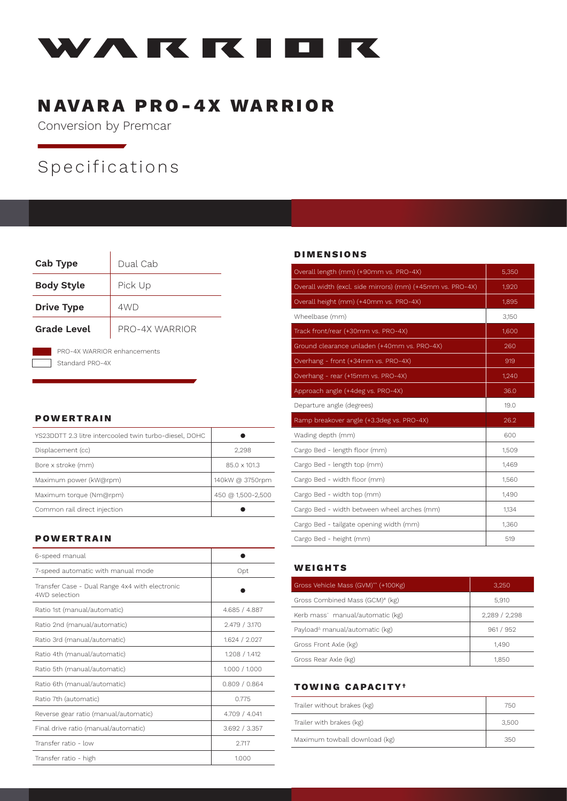

## NAVARA PRO-4X WARRIOR

Conversion by Premcar

# Specifications

| <b>Cab Type</b>                                | Dual Cab       |
|------------------------------------------------|----------------|
| <b>Body Style</b>                              | Pick Up        |
| <b>Drive Type</b>                              | 4WD            |
| Grade Level                                    | PRO-4X WARRIOR |
| PRO-4X WARRIOR enhancements<br>Standard PRO-4X |                |

## POWERTRAIN

| YS23DDTT 2.3 litre intercooled twin turbo-diesel, DOHC |                   |
|--------------------------------------------------------|-------------------|
| Displacement (cc)                                      | 2.298             |
| Bore x stroke (mm)                                     | 85.0 x 101.3      |
| Maximum power (kW@rpm)                                 | 140kW @ 3750rpm   |
| Maximum torque (Nm@rpm)                                | 450 @ 1,500-2,500 |
| Common rail direct injection                           |                   |

## POWERTRAIN

| 6-speed manual                                                  |               |
|-----------------------------------------------------------------|---------------|
| 7-speed automatic with manual mode                              | Opt           |
| Transfer Case - Dual Range 4x4 with electronic<br>4WD selection |               |
| Ratio 1st (manual/automatic)                                    | 4.685 / 4.887 |
| Ratio 2nd (manual/automatic)                                    | 2.479 / 3.170 |
| Ratio 3rd (manual/automatic)                                    | 1.624 / 2.027 |
| Ratio 4th (manual/automatic)                                    | 1.208 / 1.412 |
| Ratio 5th (manual/automatic)                                    | 1.000 / 1.000 |
| Ratio 6th (manual/automatic)                                    | 0.809 / 0.864 |
| Ratio 7th (automatic)                                           | 0.775         |
| Reverse gear ratio (manual/automatic)                           | 4.709 / 4.041 |
| Final drive ratio (manual/automatic)                            | 3.692 / 3.357 |
| Transfer ratio - low                                            | 2.717         |
| Transfer ratio - high                                           | 1.000         |

#### DIMENSIONS

| Overall length (mm) (+90mm vs. PRO-4X)                     | 5,350 |
|------------------------------------------------------------|-------|
| Overall width (excl. side mirrors) (mm) (+45mm vs. PRO-4X) | 1,920 |
| Overall height (mm) (+40mm vs. PRO-4X)                     | 1,895 |
| Wheelbase (mm)                                             | 3,150 |
| Track front/rear (+30mm vs. PRO-4X)                        | 1,600 |
| Ground clearance unladen (+40mm vs. PRO-4X)                | 260   |
| Overhang - front (+34mm vs. PRO-4X)                        | 919   |
| Overhang - rear (+15mm vs. PRO-4X)                         | 1,240 |
| Approach angle (+4deg vs. PRO-4X)                          | 36.0  |
| Departure angle (degrees)                                  | 19.0  |
|                                                            |       |
| Ramp breakover angle (+3.3deg vs. PRO-4X)                  | 26.2  |
| Wading depth (mm)                                          | 600   |
| Cargo Bed - length floor (mm)                              | 1,509 |
| Cargo Bed - length top (mm)                                | 1,469 |
| Cargo Bed - width floor (mm)                               | 1,560 |
| Cargo Bed - width top (mm)                                 | 1,490 |
| Cargo Bed - width between wheel arches (mm)                | 1,134 |
| Cargo Bed - tailgate opening width (mm)                    | 1,360 |

#### WEIGHTS

| Gross Vehicle Mass (GVM)** (+100Kg)                             | 3.250       |
|-----------------------------------------------------------------|-------------|
| Gross Combined Mass (GCM)# (kg)                                 | 5,910       |
| Kerb mass <sup>-</sup> manual/automatic (kg)                    | 2,289/2,298 |
| Payload <sup><math>\triangle</math></sup> manual/automatic (kg) | 961 / 952   |
| Gross Front Axle (kg)                                           | 1,490       |
| Gross Rear Axle (kg)                                            | 1850        |

#### TOWING CAPACITY†

| Trailer without brakes (kg)   | 750   |
|-------------------------------|-------|
| Trailer with brakes (kg)      | 3.500 |
| Maximum towball download (kg) | 350   |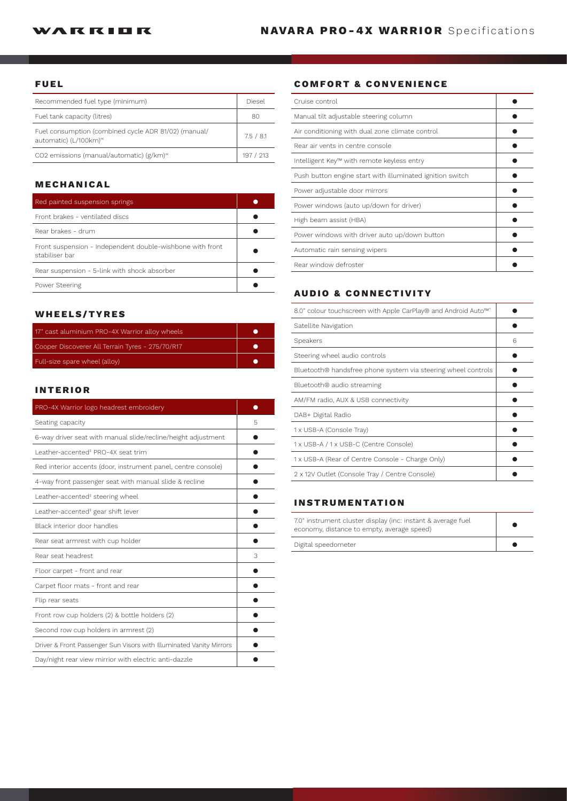#### FUEL

| Recommended fuel type (minimum)                                                           | Diesel    |
|-------------------------------------------------------------------------------------------|-----------|
| Fuel tank capacity (litres)                                                               | 80        |
| Fuel consumption (combined cycle ADR 81/02) (manual/<br>automatic) (L/100km) <sup>∞</sup> | 7.5 / 8.1 |
| CO2 emissions (manual/automatic) $(g/km)$ <sup>®</sup>                                    | 197 / 213 |

### MECHANICAL

| Red painted suspension springs                                              |  |
|-----------------------------------------------------------------------------|--|
| Front brakes - ventilated discs                                             |  |
| Rear brakes - drum                                                          |  |
| Front suspension - Independent double-wishbone with front<br>stabiliser bar |  |
| Rear suspension - 5-link with shock absorber                                |  |
| Power Steering                                                              |  |

## WHEELS/TYRES

| 17" cast aluminium PRO-4X Warrior alloy wheels   |  |
|--------------------------------------------------|--|
| Cooper Discoverer All Terrain Tyres - 275/70/R17 |  |
| Full-size spare wheel (alloy)                    |  |

### INTERIOR

| PRO-4X Warrior logo headrest embroidery                             |   |
|---------------------------------------------------------------------|---|
| Seating capacity                                                    | 5 |
| 6-way driver seat with manual slide/recline/height adjustment       |   |
| Leather-accented <sup>#</sup> PRO-4X seat trim                      |   |
| Red interior accents (door, instrument panel, centre console)       |   |
| 4-way front passenger seat with manual slide & recline              |   |
| Leather-accented <sup>#</sup> steering wheel                        |   |
| Leather-accented <sup>#</sup> gear shift lever                      |   |
| Black interior door handles                                         |   |
| Rear seat armrest with cup holder                                   |   |
| Rear seat headrest                                                  | 3 |
| Floor carpet - front and rear                                       |   |
| Carpet floor mats - front and rear                                  |   |
| Flip rear seats                                                     |   |
| Front row cup holders (2) & bottle holders (2)                      |   |
| Second row cup holders in armrest (2)                               |   |
| Driver & Front Passenger Sun Visors with Illuminated Vanity Mirrors |   |
| Day/night rear view mirrior with electric anti-dazzle               |   |

## COMFORT & CONVENIENCE

| Cruise control                                            |  |
|-----------------------------------------------------------|--|
| Manual tilt adjustable steering column                    |  |
| Air conditioning with dual zone climate control           |  |
| Rear air vents in centre console                          |  |
| Intelligent Key™ with remote keyless entry                |  |
| Push button engine start with illuminated ignition switch |  |
| Power adjustable door mirrors                             |  |
| Power windows (auto up/down for driver)                   |  |
| High beam assist (HBA)                                    |  |
| Power windows with driver auto up/down button             |  |
| Automatic rain sensing wipers                             |  |
| Rear window defroster                                     |  |

### AUDIO & CONNECTIVITY

| 8.0" colour touchscreen with Apple CarPlay® and Android Auto™^ |   |
|----------------------------------------------------------------|---|
| Satellite Navigation                                           |   |
| Speakers                                                       | 6 |
| Steering wheel audio controls                                  |   |
| Bluetooth® handsfree phone system via steering wheel controls  |   |
| Bluetooth® audio streaming                                     |   |
| AM/FM radio, AUX & USB connectivity                            |   |
| DAB+ Digital Radio                                             |   |
| 1 x USB-A (Console Tray)                                       |   |
| 1 x USB-A / 1 x USB-C (Centre Console)                         |   |
| 1 x USB-A (Rear of Centre Console - Charge Only)               |   |
| 2 x 12V Outlet (Console Tray / Centre Console)                 |   |

## INSTRUMENTATION

| 7.0" instrument cluster display (inc: instant & average fuel<br>economy, distance to empty, average speed) |  |
|------------------------------------------------------------------------------------------------------------|--|
| Digital speedometer                                                                                        |  |